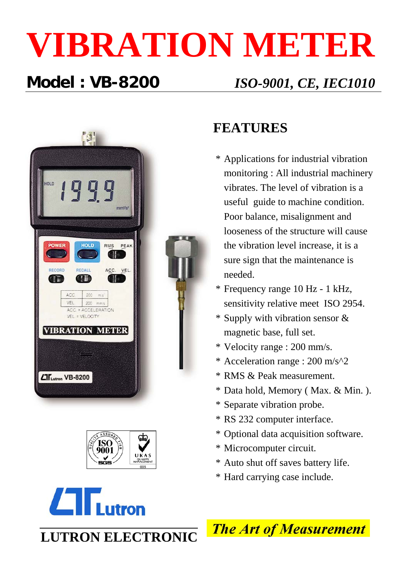# **VIBRATION METER**

### **Model : VB-8200** *ISO-9001, CE, IEC1010*







### **FEATURES**

- \* Applications for industrial vibration monitoring : All industrial machinery vibrates. The level of vibration is a useful guide to machine condition. Poor balance, misalignment and looseness of the structure will cause the vibration level increase, it is a sure sign that the maintenance is needed.
- \* Frequency range 10 Hz 1 kHz, sensitivity relative meet ISO 2954.
- \* Supply with vibration sensor & magnetic base, full set.
- \* Velocity range : 200 mm/s.
- \* Acceleration range : 200 m/s^2
- \* RMS & Peak measurement.
- \* Data hold, Memory ( Max. & Min. ).
- \* Separate vibration probe.
- \* RS 232 computer interface.
- \* Optional data acquisition software.
- \* Microcomputer circuit.
- \* Auto shut off saves battery life.
- \* Hard carrying case include.



**LUTRON ELECTRONIC**